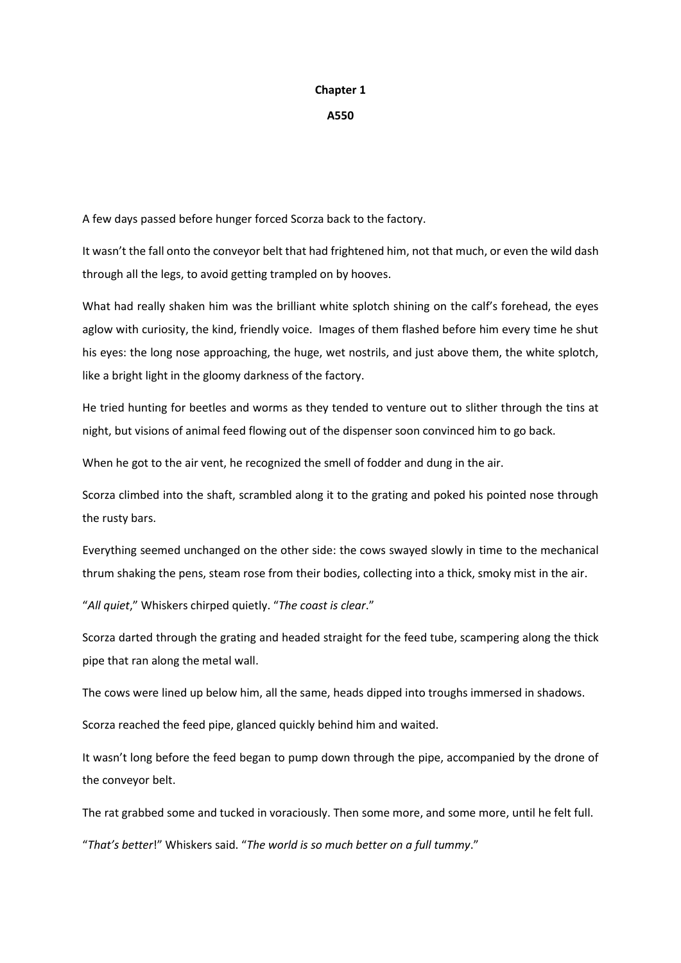## **Chapter 1**

## **A550**

A few days passed before hunger forced Scorza back to the factory.

It wasn't the fall onto the conveyor belt that had frightened him, not that much, or even the wild dash through all the legs, to avoid getting trampled on by hooves.

What had really shaken him was the brilliant white splotch shining on the calf's forehead, the eyes aglow with curiosity, the kind, friendly voice. Images of them flashed before him every time he shut his eyes: the long nose approaching, the huge, wet nostrils, and just above them, the white splotch, like a bright light in the gloomy darkness of the factory.

He tried hunting for beetles and worms as they tended to venture out to slither through the tins at night, but visions of animal feed flowing out of the dispenser soon convinced him to go back.

When he got to the air vent, he recognized the smell of fodder and dung in the air.

Scorza climbed into the shaft, scrambled along it to the grating and poked his pointed nose through the rusty bars.

Everything seemed unchanged on the other side: the cows swayed slowly in time to the mechanical thrum shaking the pens, steam rose from their bodies, collecting into a thick, smoky mist in the air.

"*All quiet*," Whiskers chirped quietly. "*The coast is clear*."

Scorza darted through the grating and headed straight for the feed tube, scampering along the thick pipe that ran along the metal wall.

The cows were lined up below him, all the same, heads dipped into troughs immersed in shadows.

Scorza reached the feed pipe, glanced quickly behind him and waited.

It wasn't long before the feed began to pump down through the pipe, accompanied by the drone of the conveyor belt.

The rat grabbed some and tucked in voraciously. Then some more, and some more, until he felt full.

"*That's better*!" Whiskers said. "*The world is so much better on a full tummy*."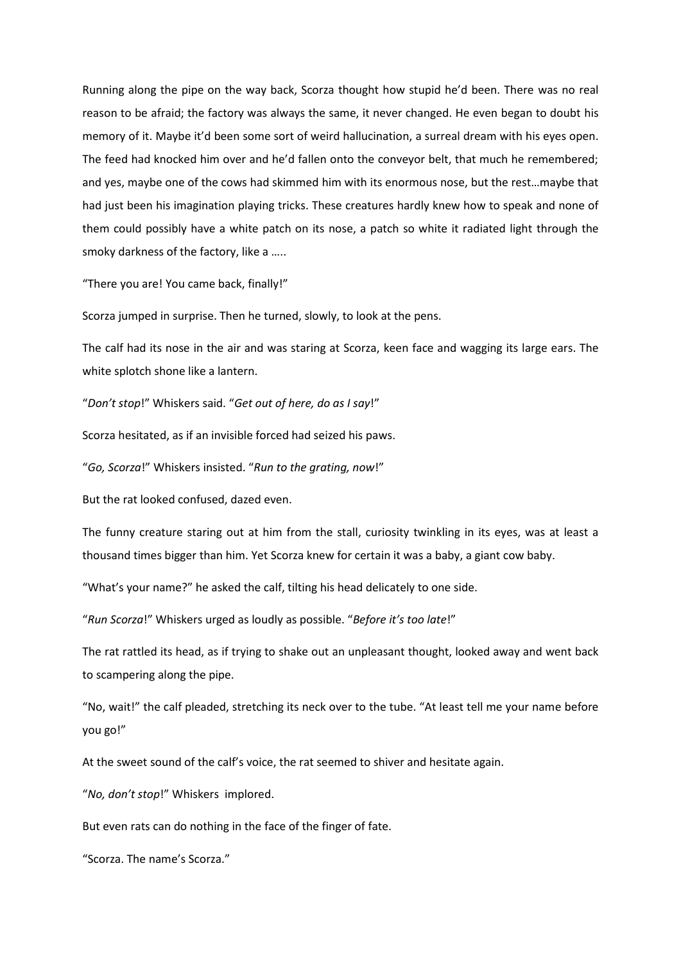Running along the pipe on the way back, Scorza thought how stupid he'd been. There was no real reason to be afraid; the factory was always the same, it never changed. He even began to doubt his memory of it. Maybe it'd been some sort of weird hallucination, a surreal dream with his eyes open. The feed had knocked him over and he'd fallen onto the conveyor belt, that much he remembered; and yes, maybe one of the cows had skimmed him with its enormous nose, but the rest…maybe that had just been his imagination playing tricks. These creatures hardly knew how to speak and none of them could possibly have a white patch on its nose, a patch so white it radiated light through the smoky darkness of the factory, like a …..

"There you are! You came back, finally!"

Scorza jumped in surprise. Then he turned, slowly, to look at the pens.

The calf had its nose in the air and was staring at Scorza, keen face and wagging its large ears. The white splotch shone like a lantern.

"*Don't stop*!" Whiskers said. "*Get out of here, do as I say*!"

Scorza hesitated, as if an invisible forced had seized his paws.

"*Go, Scorza*!" Whiskers insisted. "*Run to the grating, now*!"

But the rat looked confused, dazed even.

The funny creature staring out at him from the stall, curiosity twinkling in its eyes, was at least a thousand times bigger than him. Yet Scorza knew for certain it was a baby, a giant cow baby.

"What's your name?" he asked the calf, tilting his head delicately to one side.

"*Run Scorza*!" Whiskers urged as loudly as possible. "*Before it's too late*!"

The rat rattled its head, as if trying to shake out an unpleasant thought, looked away and went back to scampering along the pipe.

"No, wait!" the calf pleaded, stretching its neck over to the tube. "At least tell me your name before you go!"

At the sweet sound of the calf's voice, the rat seemed to shiver and hesitate again.

"*No, don't stop*!" Whiskers implored.

But even rats can do nothing in the face of the finger of fate.

"Scorza. The name's Scorza."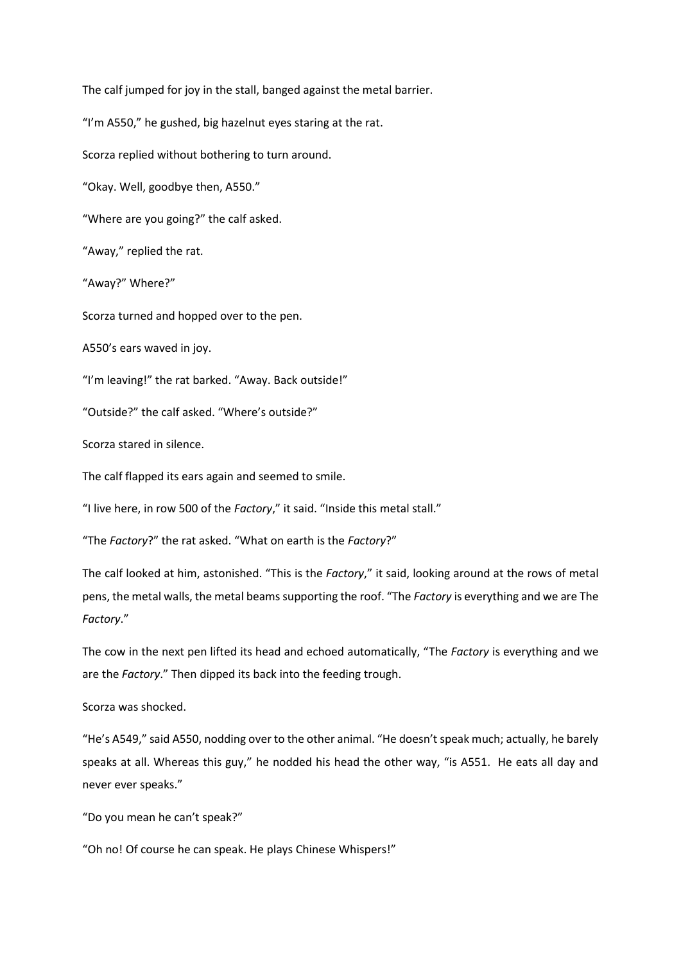The calf jumped for joy in the stall, banged against the metal barrier. "I'm A550," he gushed, big hazelnut eyes staring at the rat. Scorza replied without bothering to turn around. "Okay. Well, goodbye then, A550." "Where are you going?" the calf asked. "Away," replied the rat. "Away?" Where?" Scorza turned and hopped over to the pen. A550's ears waved in joy. "I'm leaving!" the rat barked. "Away. Back outside!" "Outside?" the calf asked. "Where's outside?" Scorza stared in silence. The calf flapped its ears again and seemed to smile. "I live here, in row 500 of the *Factory*," it said. "Inside this metal stall." "The *Factory*?" the rat asked. "What on earth is the *Factory*?" The calf looked at him, astonished. "This is the *Factory*," it said, looking around at the rows of metal pens, the metal walls, the metal beams supporting the roof. "The *Factory* is everything and we are The

The cow in the next pen lifted its head and echoed automatically, "The *Factory* is everything and we are the *Factory*." Then dipped its back into the feeding trough.

Scorza was shocked.

*Factory*."

"He's A549," said A550, nodding over to the other animal. "He doesn't speak much; actually, he barely speaks at all. Whereas this guy," he nodded his head the other way, "is A551. He eats all day and never ever speaks."

"Do you mean he can't speak?"

"Oh no! Of course he can speak. He plays Chinese Whispers!"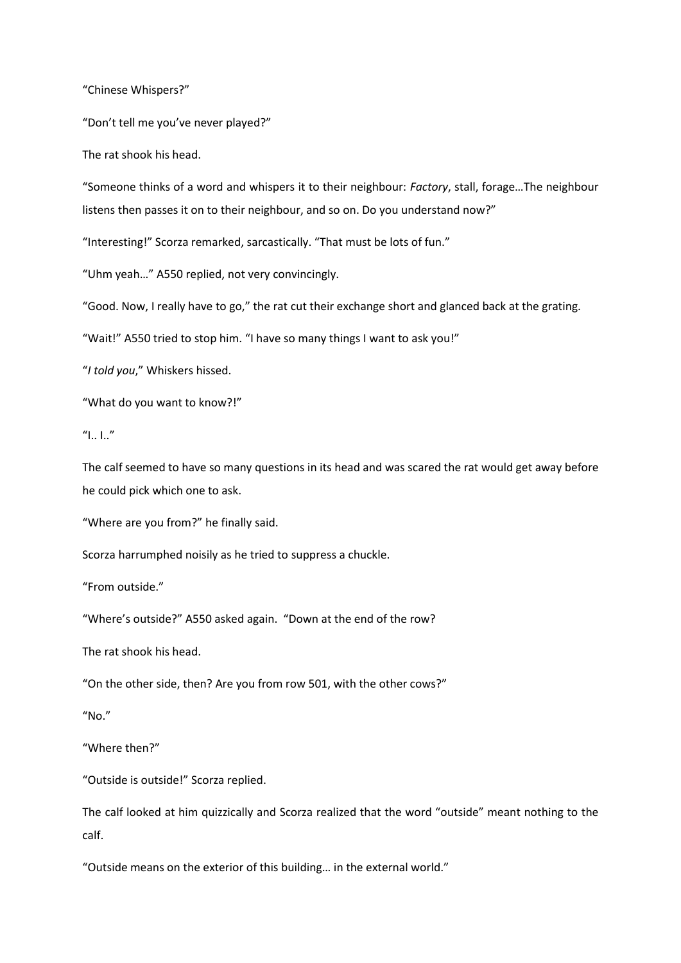"Chinese Whispers?"

"Don't tell me you've never played?"

The rat shook his head.

"Someone thinks of a word and whispers it to their neighbour: *Factory*, stall, forage…The neighbour listens then passes it on to their neighbour, and so on. Do you understand now?"

"Interesting!" Scorza remarked, sarcastically. "That must be lots of fun."

"Uhm yeah…" A550 replied, not very convincingly.

"Good. Now, I really have to go," the rat cut their exchange short and glanced back at the grating.

"Wait!" A550 tried to stop him. "I have so many things I want to ask you!"

"*I told you*," Whiskers hissed.

"What do you want to know?!"

 $''$ I.. I.."

The calf seemed to have so many questions in its head and was scared the rat would get away before he could pick which one to ask.

"Where are you from?" he finally said.

Scorza harrumphed noisily as he tried to suppress a chuckle.

"From outside."

"Where's outside?" A550 asked again. "Down at the end of the row?

The rat shook his head.

"On the other side, then? Are you from row 501, with the other cows?"

"No."

"Where then?"

"Outside is outside!" Scorza replied.

The calf looked at him quizzically and Scorza realized that the word "outside" meant nothing to the calf.

"Outside means on the exterior of this building… in the external world."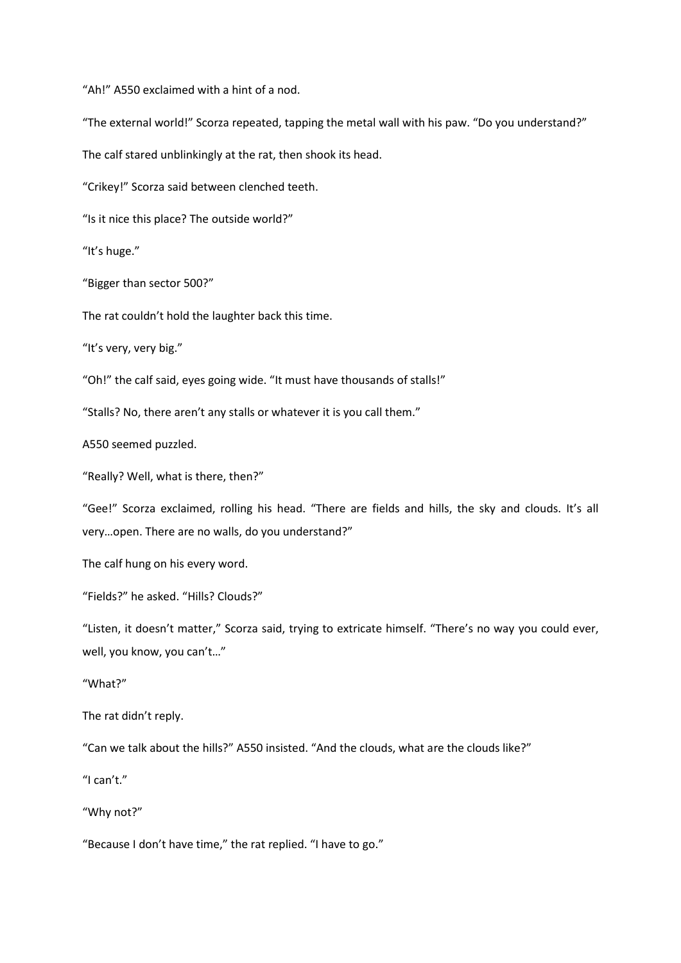"Ah!" A550 exclaimed with a hint of a nod.

"The external world!" Scorza repeated, tapping the metal wall with his paw. "Do you understand?"

The calf stared unblinkingly at the rat, then shook its head.

"Crikey!" Scorza said between clenched teeth.

"Is it nice this place? The outside world?"

"It's huge."

"Bigger than sector 500?"

The rat couldn't hold the laughter back this time.

"It's very, very big."

"Oh!" the calf said, eyes going wide. "It must have thousands of stalls!"

"Stalls? No, there aren't any stalls or whatever it is you call them."

A550 seemed puzzled.

"Really? Well, what is there, then?"

"Gee!" Scorza exclaimed, rolling his head. "There are fields and hills, the sky and clouds. It's all very…open. There are no walls, do you understand?"

The calf hung on his every word.

"Fields?" he asked. "Hills? Clouds?"

"Listen, it doesn't matter," Scorza said, trying to extricate himself. "There's no way you could ever, well, you know, you can't…"

"What?"

The rat didn't reply.

"Can we talk about the hills?" A550 insisted. "And the clouds, what are the clouds like?"

"I can't."

"Why not?"

"Because I don't have time," the rat replied. "I have to go."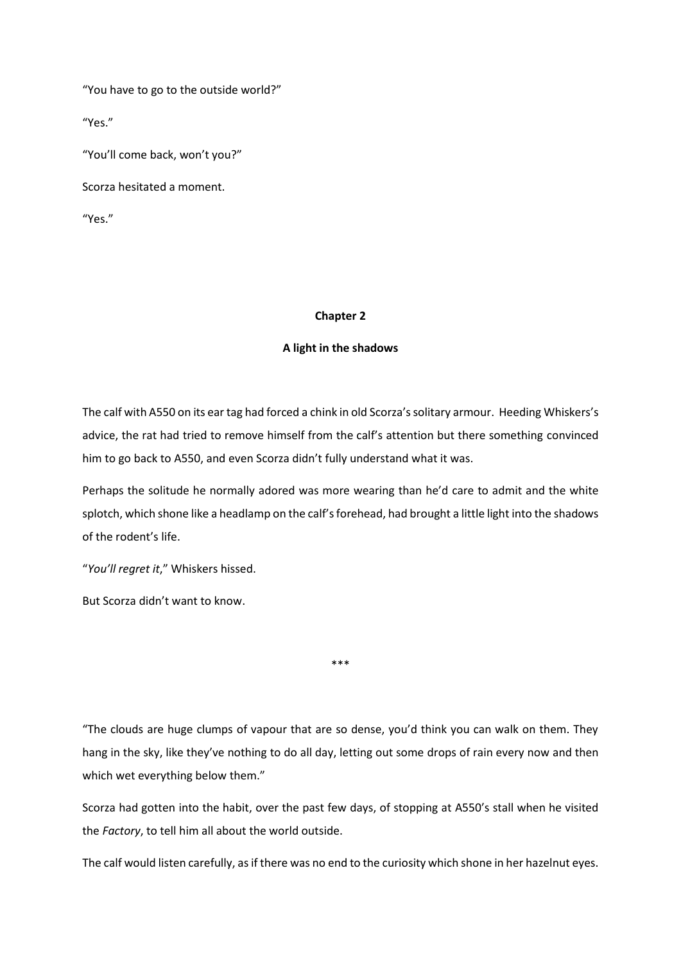"You have to go to the outside world?"

"Yes."

"You'll come back, won't you?"

Scorza hesitated a moment.

"Yes."

#### **Chapter 2**

## **A light in the shadows**

The calf with A550 on its ear tag had forced a chink in old Scorza's solitary armour. Heeding Whiskers's advice, the rat had tried to remove himself from the calf's attention but there something convinced him to go back to A550, and even Scorza didn't fully understand what it was.

Perhaps the solitude he normally adored was more wearing than he'd care to admit and the white splotch, which shone like a headlamp on the calf's forehead, had brought a little light into the shadows of the rodent's life.

"*You'll regret it*," Whiskers hissed.

But Scorza didn't want to know.

\*\*\*

"The clouds are huge clumps of vapour that are so dense, you'd think you can walk on them. They hang in the sky, like they've nothing to do all day, letting out some drops of rain every now and then which wet everything below them."

Scorza had gotten into the habit, over the past few days, of stopping at A550's stall when he visited the *Factory*, to tell him all about the world outside.

The calf would listen carefully, as if there was no end to the curiosity which shone in her hazelnut eyes.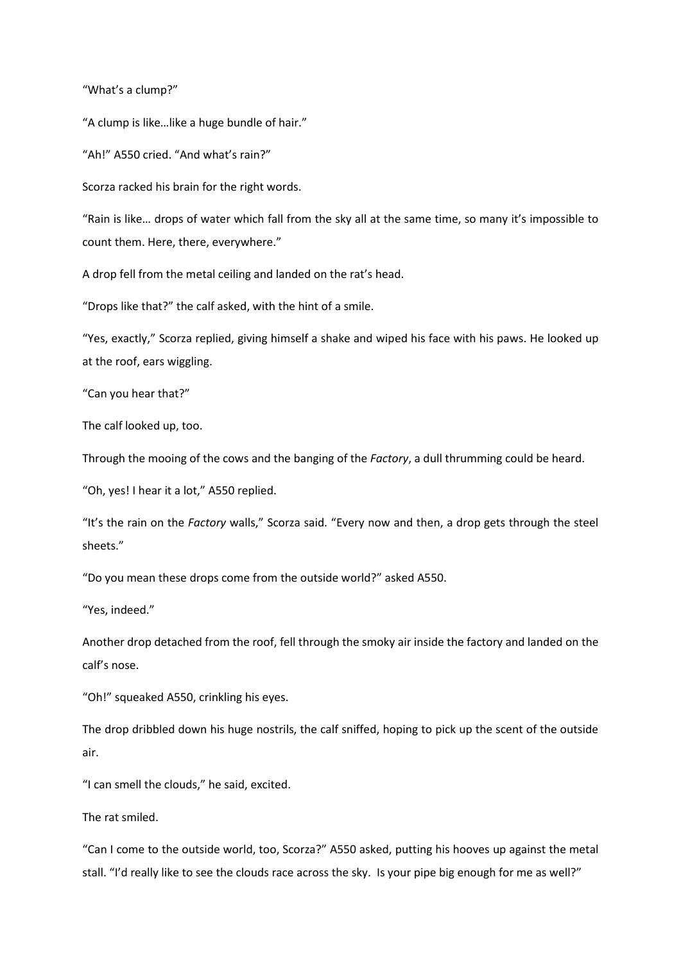"What's a clump?"

"A clump is like…like a huge bundle of hair."

"Ah!" A550 cried. "And what's rain?"

Scorza racked his brain for the right words.

"Rain is like… drops of water which fall from the sky all at the same time, so many it's impossible to count them. Here, there, everywhere."

A drop fell from the metal ceiling and landed on the rat's head.

"Drops like that?" the calf asked, with the hint of a smile.

"Yes, exactly," Scorza replied, giving himself a shake and wiped his face with his paws. He looked up at the roof, ears wiggling.

"Can you hear that?"

The calf looked up, too.

Through the mooing of the cows and the banging of the *Factory*, a dull thrumming could be heard.

"Oh, yes! I hear it a lot," A550 replied.

"It's the rain on the *Factory* walls," Scorza said. "Every now and then, a drop gets through the steel sheets."

"Do you mean these drops come from the outside world?" asked A550.

"Yes, indeed."

Another drop detached from the roof, fell through the smoky air inside the factory and landed on the calf's nose.

"Oh!" squeaked A550, crinkling his eyes.

The drop dribbled down his huge nostrils, the calf sniffed, hoping to pick up the scent of the outside air.

"I can smell the clouds," he said, excited.

The rat smiled.

"Can I come to the outside world, too, Scorza?" A550 asked, putting his hooves up against the metal stall. "I'd really like to see the clouds race across the sky. Is your pipe big enough for me as well?"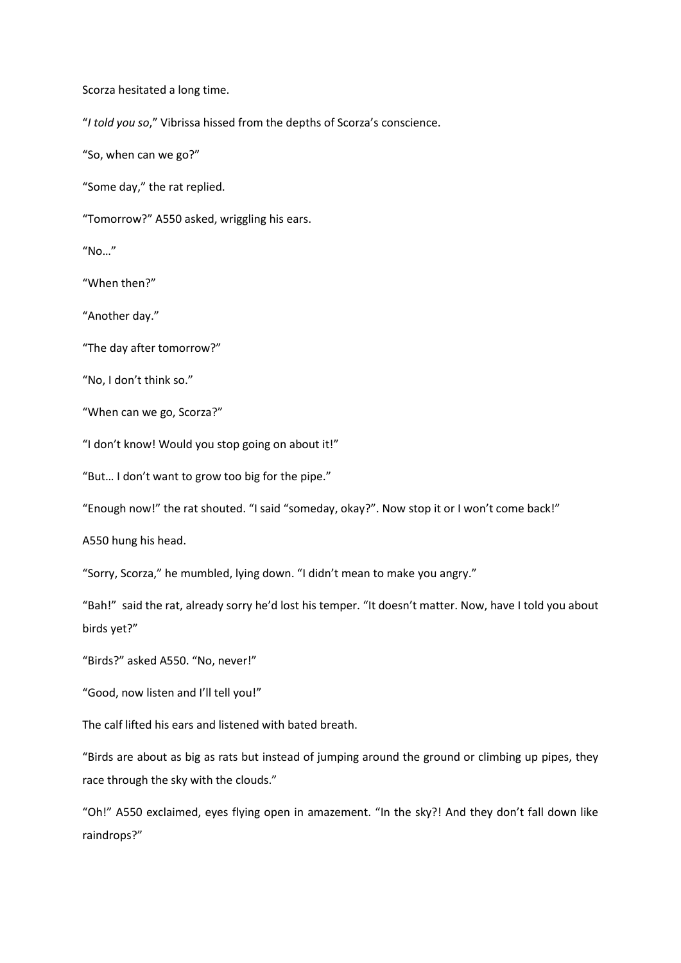Scorza hesitated a long time.

"*I told you so*," Vibrissa hissed from the depths of Scorza's conscience.

"So, when can we go?"

"Some day," the rat replied.

"Tomorrow?" A550 asked, wriggling his ears.

"No…"

"When then?"

"Another day."

"The day after tomorrow?"

"No, I don't think so."

"When can we go, Scorza?"

"I don't know! Would you stop going on about it!"

"But… I don't want to grow too big for the pipe."

"Enough now!" the rat shouted. "I said "someday, okay?". Now stop it or I won't come back!"

A550 hung his head.

"Sorry, Scorza," he mumbled, lying down. "I didn't mean to make you angry."

"Bah!" said the rat, already sorry he'd lost his temper. "It doesn't matter. Now, have I told you about birds yet?"

"Birds?" asked A550. "No, never!"

"Good, now listen and I'll tell you!"

The calf lifted his ears and listened with bated breath.

"Birds are about as big as rats but instead of jumping around the ground or climbing up pipes, they race through the sky with the clouds."

"Oh!" A550 exclaimed, eyes flying open in amazement. "In the sky?! And they don't fall down like raindrops?"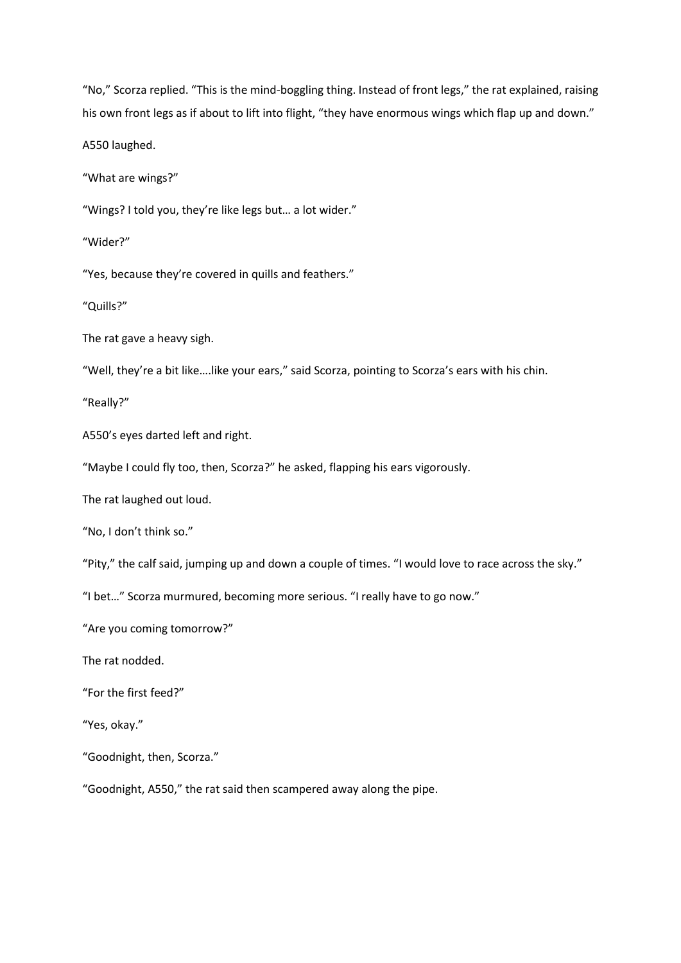"No," Scorza replied. "This is the mind-boggling thing. Instead of front legs," the rat explained, raising his own front legs as if about to lift into flight, "they have enormous wings which flap up and down."

A550 laughed.

"What are wings?"

"Wings? I told you, they're like legs but… a lot wider."

"Wider?"

"Yes, because they're covered in quills and feathers."

"Quills?"

The rat gave a heavy sigh.

"Well, they're a bit like….like your ears," said Scorza, pointing to Scorza's ears with his chin.

"Really?"

A550's eyes darted left and right.

"Maybe I could fly too, then, Scorza?" he asked, flapping his ears vigorously.

The rat laughed out loud.

"No, I don't think so."

"Pity," the calf said, jumping up and down a couple of times. "I would love to race across the sky."

"I bet…" Scorza murmured, becoming more serious. "I really have to go now."

"Are you coming tomorrow?"

The rat nodded.

"For the first feed?"

"Yes, okay."

"Goodnight, then, Scorza."

"Goodnight, A550," the rat said then scampered away along the pipe.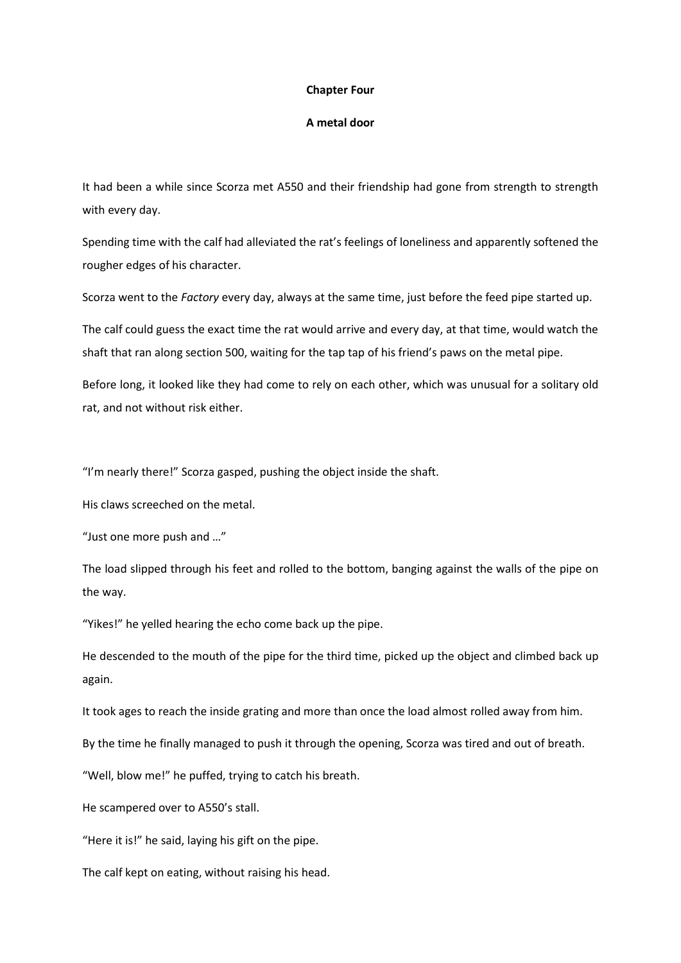#### **Chapter Four**

# **A metal door**

It had been a while since Scorza met A550 and their friendship had gone from strength to strength with every day.

Spending time with the calf had alleviated the rat's feelings of loneliness and apparently softened the rougher edges of his character.

Scorza went to the *Factory* every day, always at the same time, just before the feed pipe started up.

The calf could guess the exact time the rat would arrive and every day, at that time, would watch the shaft that ran along section 500, waiting for the tap tap of his friend's paws on the metal pipe.

Before long, it looked like they had come to rely on each other, which was unusual for a solitary old rat, and not without risk either.

"I'm nearly there!" Scorza gasped, pushing the object inside the shaft.

His claws screeched on the metal.

"Just one more push and …"

The load slipped through his feet and rolled to the bottom, banging against the walls of the pipe on the way.

"Yikes!" he yelled hearing the echo come back up the pipe.

He descended to the mouth of the pipe for the third time, picked up the object and climbed back up again.

It took ages to reach the inside grating and more than once the load almost rolled away from him.

By the time he finally managed to push it through the opening, Scorza was tired and out of breath.

"Well, blow me!" he puffed, trying to catch his breath.

He scampered over to A550's stall.

"Here it is!" he said, laying his gift on the pipe.

The calf kept on eating, without raising his head.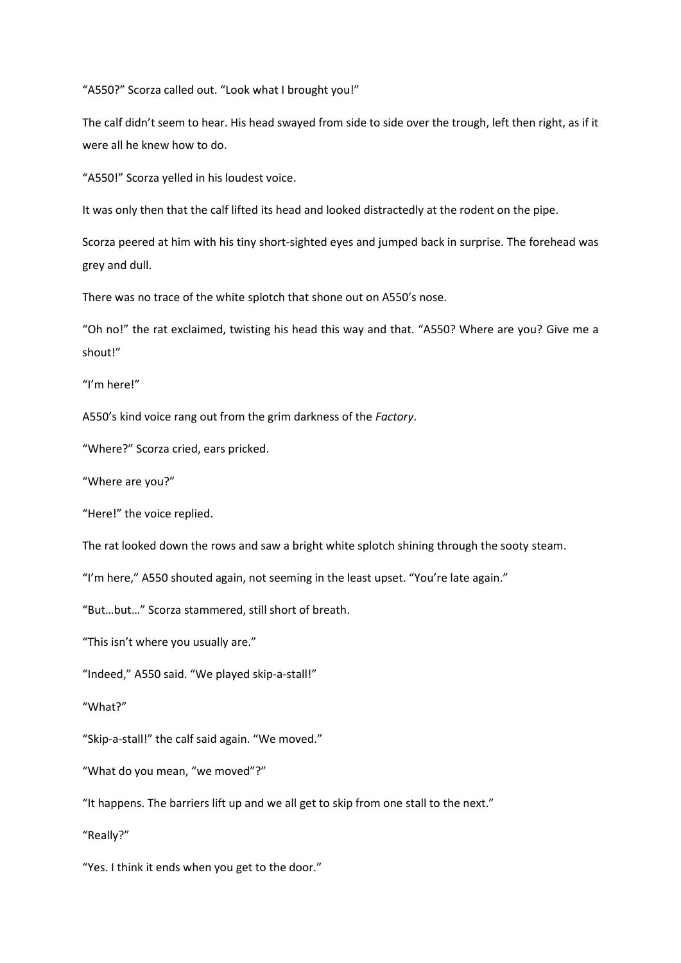"A550?" Scorza called out. "Look what I brought you!"

The calf didn't seem to hear. His head swayed from side to side over the trough, left then right, as if it were all he knew how to do.

"A550!" Scorza yelled in his loudest voice.

It was only then that the calf lifted its head and looked distractedly at the rodent on the pipe.

Scorza peered at him with his tiny short-sighted eyes and jumped back in surprise. The forehead was grey and dull.

There was no trace of the white splotch that shone out on A550's nose.

"Oh no!" the rat exclaimed, twisting his head this way and that. "A550? Where are you? Give me a shout!"

"I'm here!"

A550's kind voice rang out from the grim darkness of the *Factory*.

"Where?" Scorza cried, ears pricked.

"Where are you?"

"Here!" the voice replied.

The rat looked down the rows and saw a bright white splotch shining through the sooty steam.

"I'm here," A550 shouted again, not seeming in the least upset. "You're late again."

"But…but…" Scorza stammered, still short of breath.

"This isn't where you usually are."

"Indeed," A550 said. "We played skip-a-stall!"

"What?"

"Skip-a-stall!" the calf said again. "We moved."

"What do you mean, "we moved"?"

"It happens. The barriers lift up and we all get to skip from one stall to the next."

"Really?"

"Yes. I think it ends when you get to the door."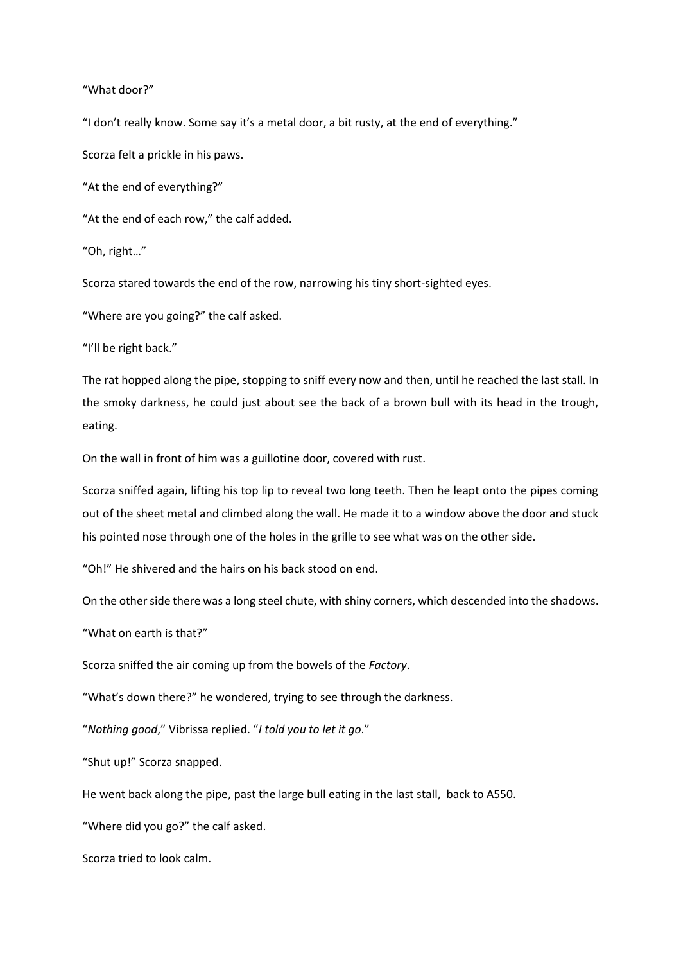"What door?"

"I don't really know. Some say it's a metal door, a bit rusty, at the end of everything."

Scorza felt a prickle in his paws.

"At the end of everything?"

"At the end of each row," the calf added.

"Oh, right…"

Scorza stared towards the end of the row, narrowing his tiny short-sighted eyes.

"Where are you going?" the calf asked.

"I'll be right back."

The rat hopped along the pipe, stopping to sniff every now and then, until he reached the last stall. In the smoky darkness, he could just about see the back of a brown bull with its head in the trough, eating.

On the wall in front of him was a guillotine door, covered with rust.

Scorza sniffed again, lifting his top lip to reveal two long teeth. Then he leapt onto the pipes coming out of the sheet metal and climbed along the wall. He made it to a window above the door and stuck his pointed nose through one of the holes in the grille to see what was on the other side.

"Oh!" He shivered and the hairs on his back stood on end.

On the other side there was a long steel chute, with shiny corners, which descended into the shadows.

"What on earth is that?"

Scorza sniffed the air coming up from the bowels of the *Factory*.

"What's down there?" he wondered, trying to see through the darkness.

"*Nothing good*," Vibrissa replied. "*I told you to let it go*."

"Shut up!" Scorza snapped.

He went back along the pipe, past the large bull eating in the last stall, back to A550.

"Where did you go?" the calf asked.

Scorza tried to look calm.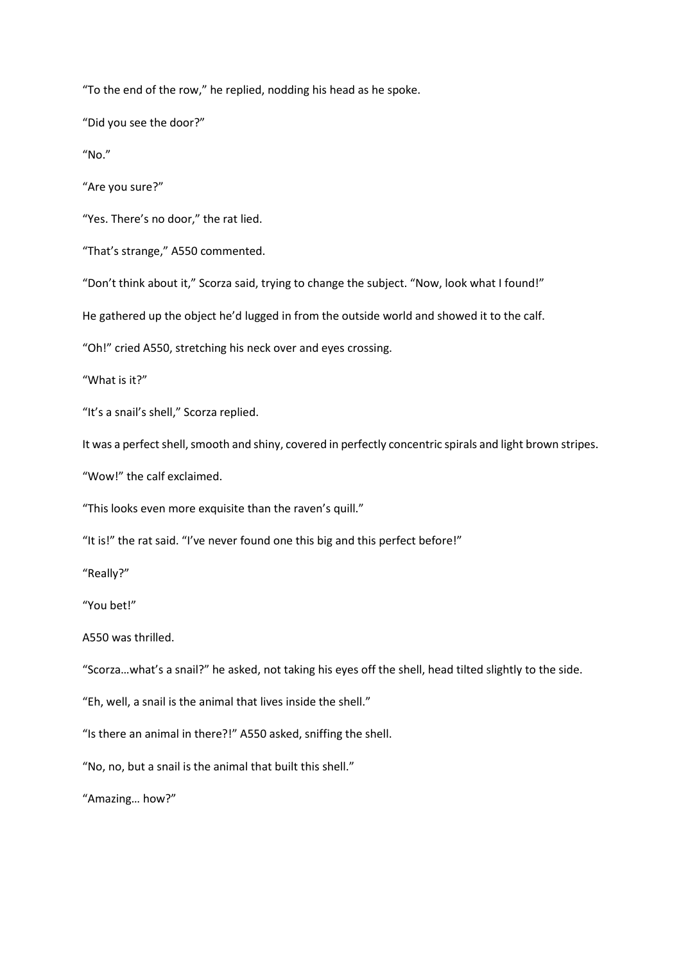"To the end of the row," he replied, nodding his head as he spoke.

"Did you see the door?"

"No."

"Are you sure?"

"Yes. There's no door," the rat lied.

"That's strange," A550 commented.

"Don't think about it," Scorza said, trying to change the subject. "Now, look what I found!"

He gathered up the object he'd lugged in from the outside world and showed it to the calf.

"Oh!" cried A550, stretching his neck over and eyes crossing.

"What is it?"

"It's a snail's shell," Scorza replied.

It was a perfect shell, smooth and shiny, covered in perfectly concentric spirals and light brown stripes.

"Wow!" the calf exclaimed.

"This looks even more exquisite than the raven's quill."

"It is!" the rat said. "I've never found one this big and this perfect before!"

"Really?"

"You bet!"

A550 was thrilled.

"Scorza…what's a snail?" he asked, not taking his eyes off the shell, head tilted slightly to the side.

"Eh, well, a snail is the animal that lives inside the shell."

"Is there an animal in there?!" A550 asked, sniffing the shell.

"No, no, but a snail is the animal that built this shell."

"Amazing… how?"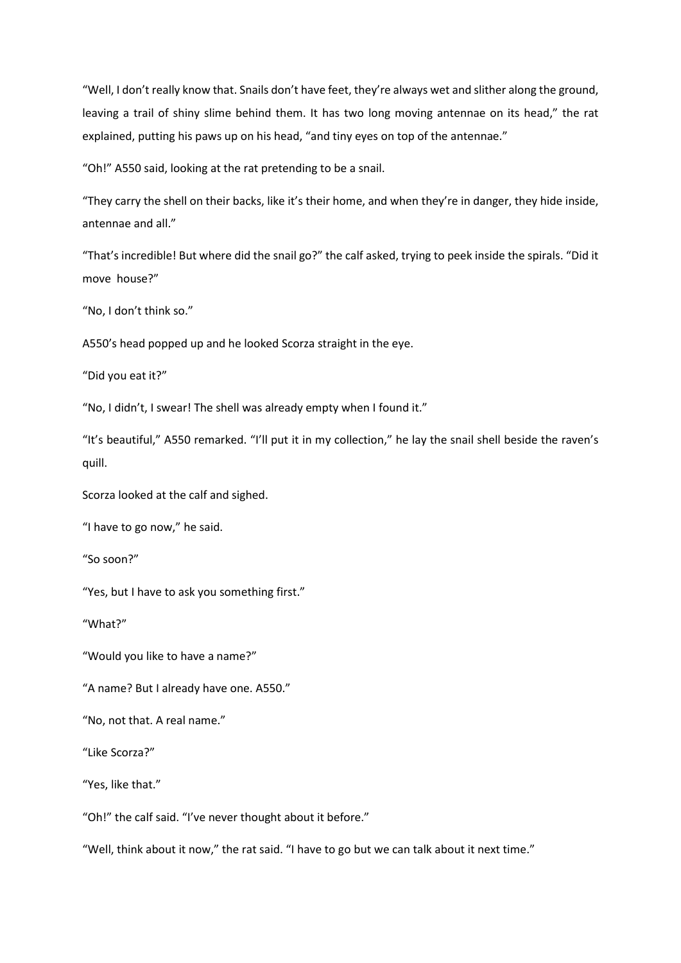"Well, I don't really know that. Snails don't have feet, they're always wet and slither along the ground, leaving a trail of shiny slime behind them. It has two long moving antennae on its head," the rat explained, putting his paws up on his head, "and tiny eyes on top of the antennae."

"Oh!" A550 said, looking at the rat pretending to be a snail.

"They carry the shell on their backs, like it's their home, and when they're in danger, they hide inside, antennae and all."

"That's incredible! But where did the snail go?" the calf asked, trying to peek inside the spirals. "Did it move house?"

"No, I don't think so."

A550's head popped up and he looked Scorza straight in the eye.

"Did you eat it?"

"No, I didn't, I swear! The shell was already empty when I found it."

"It's beautiful," A550 remarked. "I'll put it in my collection," he lay the snail shell beside the raven's quill.

Scorza looked at the calf and sighed.

"I have to go now," he said.

"So soon?"

"Yes, but I have to ask you something first."

"What?"

"Would you like to have a name?"

"A name? But I already have one. A550."

"No, not that. A real name."

"Like Scorza?"

"Yes, like that."

"Oh!" the calf said. "I've never thought about it before."

"Well, think about it now," the rat said. "I have to go but we can talk about it next time."